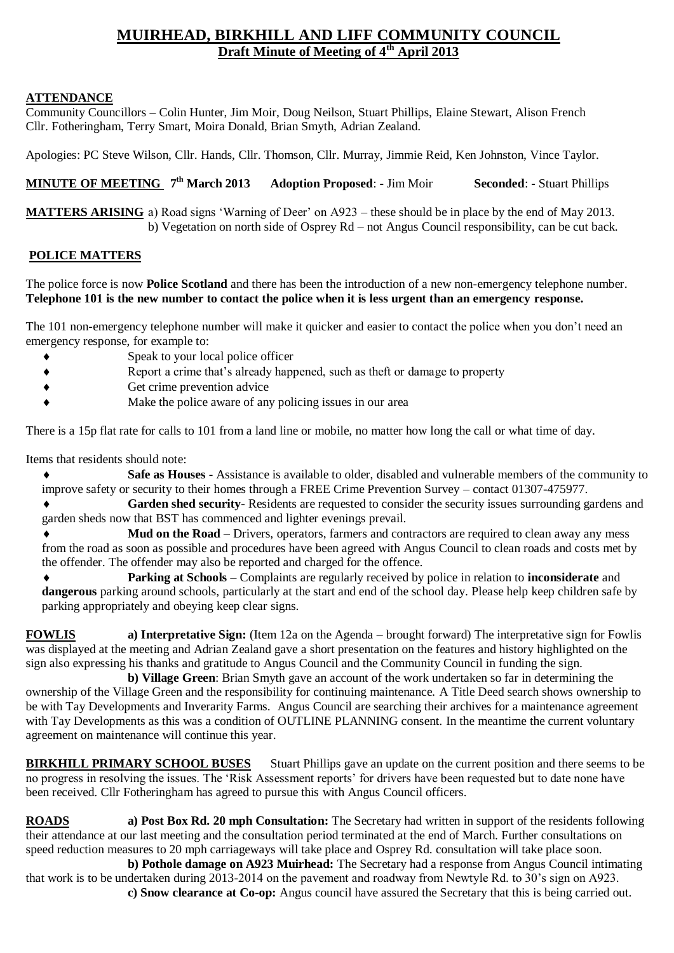## **MUIRHEAD, BIRKHILL AND LIFF COMMUNITY COUNCIL Draft Minute of Meeting of 4th April 2013**

## **ATTENDANCE**

Community Councillors – Colin Hunter, Jim Moir, Doug Neilson, Stuart Phillips, Elaine Stewart, Alison French Cllr. Fotheringham, Terry Smart, Moira Donald, Brian Smyth, Adrian Zealand.

Apologies: PC Steve Wilson, Cllr. Hands, Cllr. Thomson, Cllr. Murray, Jimmie Reid, Ken Johnston, Vince Taylor.

**MINUTE OF MEETING 7 th March 2013 Adoption Proposed**: - Jim Moir **Seconded**: - Stuart Phillips

**MATTERS ARISING** a) Road signs 'Warning of Deer' on A923 – these should be in place by the end of May 2013. b) Vegetation on north side of Osprey Rd – not Angus Council responsibility, can be cut back.

## **POLICE MATTERS**

The police force is now **Police Scotland** and there has been the introduction of a new non-emergency telephone number. **Telephone 101 is the new number to contact the police when it is less urgent than an emergency response.**

The 101 non-emergency telephone number will make it quicker and easier to contact the police when you don't need an emergency response, for example to:

- Speak to your local police officer
- Report a crime that's already happened, such as theft or damage to property
- Get crime prevention advice
- Make the police aware of any policing issues in our area

There is a 15p flat rate for calls to 101 from a land line or mobile, no matter how long the call or what time of day.

Items that residents should note:

- **Safe as Houses** Assistance is available to older, disabled and vulnerable members of the community to improve safety or security to their homes through a FREE Crime Prevention Survey – contact 01307-475977.
- **Garden shed security** Residents are requested to consider the security issues surrounding gardens and garden sheds now that BST has commenced and lighter evenings prevail.
- ◆ **Mud on the Road** Drivers, operators, farmers and contractors are required to clean away any mess from the road as soon as possible and procedures have been agreed with Angus Council to clean roads and costs met by the offender. The offender may also be reported and charged for the offence.
- **Parking at Schools**  Complaints are regularly received by police in relation to **inconsiderate** and **dangerous** parking around schools, particularly at the start and end of the school day. Please help keep children safe by parking appropriately and obeying keep clear signs.

**FOWLIS a) Interpretative Sign:** (Item 12a on the Agenda – brought forward) The interpretative sign for Fowlis was displayed at the meeting and Adrian Zealand gave a short presentation on the features and history highlighted on the sign also expressing his thanks and gratitude to Angus Council and the Community Council in funding the sign.

**b) Village Green**: Brian Smyth gave an account of the work undertaken so far in determining the ownership of the Village Green and the responsibility for continuing maintenance. A Title Deed search shows ownership to be with Tay Developments and Inverarity Farms. Angus Council are searching their archives for a maintenance agreement with Tay Developments as this was a condition of OUTLINE PLANNING consent. In the meantime the current voluntary agreement on maintenance will continue this year.

**BIRKHILL PRIMARY SCHOOL BUSES** Stuart Phillips gave an update on the current position and there seems to be no progress in resolving the issues. The 'Risk Assessment reports' for drivers have been requested but to date none have been received. Cllr Fotheringham has agreed to pursue this with Angus Council officers.

**ROADS a) Post Box Rd. 20 mph Consultation:** The Secretary had written in support of the residents following their attendance at our last meeting and the consultation period terminated at the end of March. Further consultations on speed reduction measures to 20 mph carriageways will take place and Osprey Rd. consultation will take place soon.

**b) Pothole damage on A923 Muirhead:** The Secretary had a response from Angus Council intimating that work is to be undertaken during 2013-2014 on the pavement and roadway from Newtyle Rd. to 30's sign on A923.

**c) Snow clearance at Co-op:** Angus council have assured the Secretary that this is being carried out.